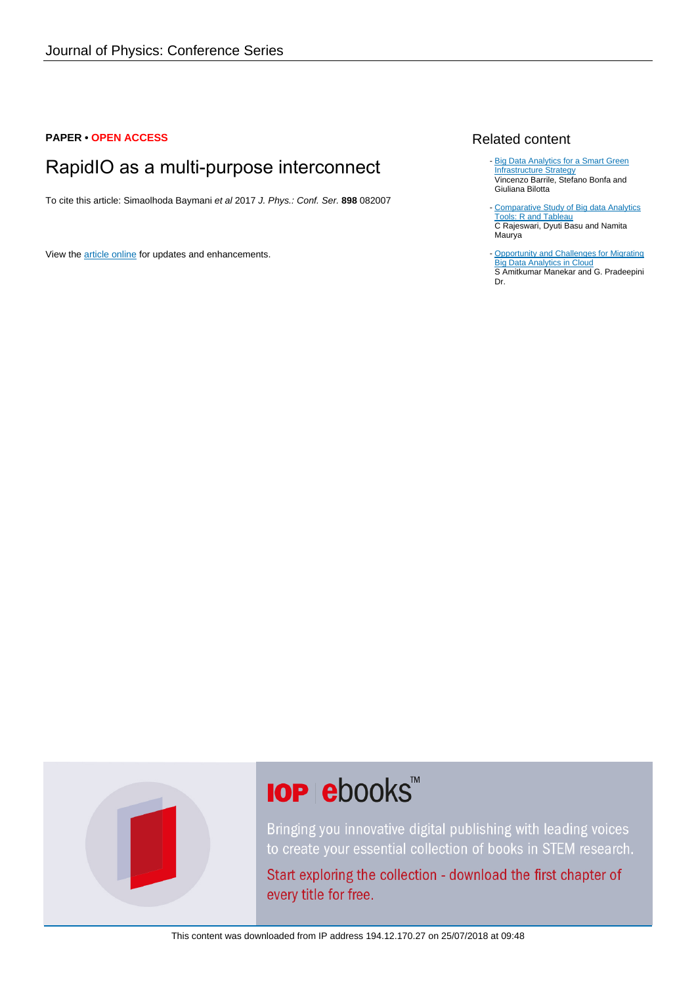#### **PAPER • OPEN ACCESS**

# RapidIO as a multi-purpose interconnect

To cite this article: Simaolhoda Baymani et al 2017 J. Phys.: Conf. Ser. **898** 082007

View the [article online](https://doi.org/10.1088/1742-6596/898/8/082007) for updates and enhancements.

#### Related content

- [Big Data Analytics for a Smart Green](http://iopscience.iop.org/article/10.1088/1757-899X/225/1/012195) [Infrastructure Strategy](http://iopscience.iop.org/article/10.1088/1757-899X/225/1/012195) Vincenzo Barrile, Stefano Bonfa and Giuliana Bilotta
- [Comparative Study of Big data Analytics](http://iopscience.iop.org/article/10.1088/1757-899X/263/4/042052) [Tools: R and Tableau](http://iopscience.iop.org/article/10.1088/1757-899X/263/4/042052) C Rajeswari, Dyuti Basu and Namita Maurya -
- [Opportunity and Challenges for Migrating](http://iopscience.iop.org/article/10.1088/1757-899X/225/1/012148) **[Big Data Analytics in Cloud](http://iopscience.iop.org/article/10.1088/1757-899X/225/1/012148)** S Amitkumar Manekar and G. Pradeepini Dr.



# **IOP ebooks**™

Bringing you innovative digital publishing with leading voices to create your essential collection of books in STEM research.

Start exploring the collection - download the first chapter of every title for free.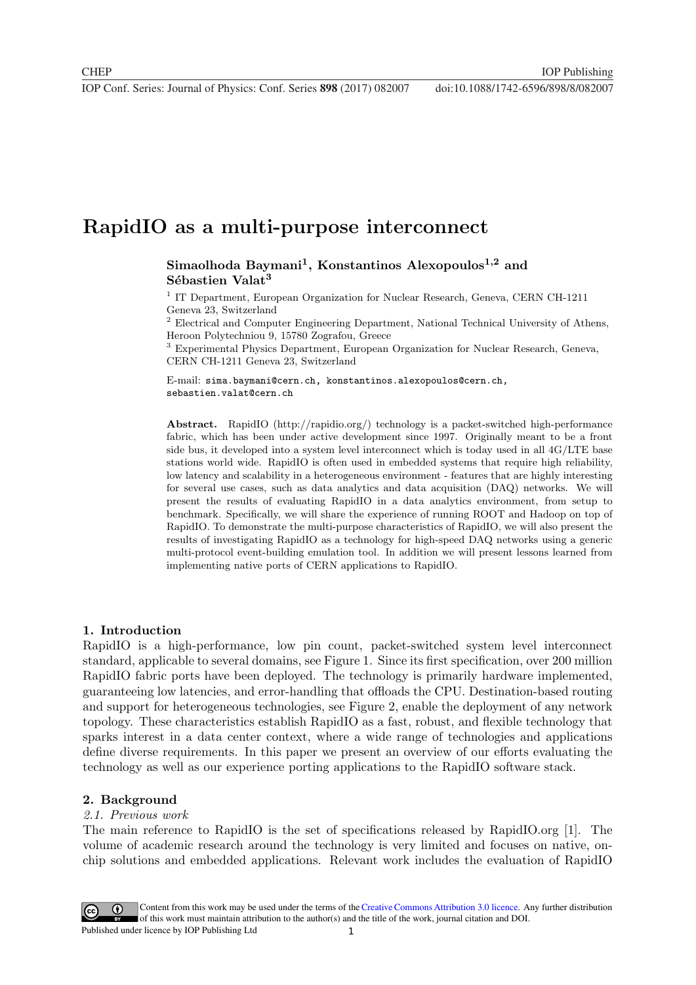**1234567890** IOP Conf. Series: Journal of Physics: Conf. Series **898** (2017) 082007 doi :10.1088/1742-6596/898/8/082007

## **RapidIO as a multi-purpose interconnect**

### **Simaolhoda Baymani1, Konstantinos Alexopoulos1,2 and Sébastien Valat<sup>3</sup>**

<sup>1</sup> IT Department, European Organization for Nuclear Research, Geneva, CERN CH-1211 Geneva 23, Switzerland

 $^2$  Electrical and Computer Engineering Department, National Technical University of Athens, Heroon Polytechniou 9, 15780 Zografou, Greece

<sup>3</sup> Experimental Physics Department, European Organization for Nuclear Research, Geneva, CERN CH-1211 Geneva 23, Switzerland

E-mail: sima.baymani@cern.ch, konstantinos.alexopoulos@cern.ch, sebastien.valat@cern.ch

**Abstract.** RapidIO (http://rapidio.org/) technology is a packet-switched high-performance fabric, which has been under active development since 1997. Originally meant to be a front side bus, it developed into a system level interconnect which is today used in all 4G/LTE base stations world wide. RapidIO is often used in embedded systems that require high reliability, low latency and scalability in a heterogeneous environment - features that are highly interesting for several use cases, such as data analytics and data acquisition (DAQ) networks. We will present the results of evaluating RapidIO in a data analytics environment, from setup to benchmark. Specifically, we will share the experience of running ROOT and Hadoop on top of RapidIO. To demonstrate the multi-purpose characteristics of RapidIO, we will also present the results of investigating RapidIO as a technology for high-speed DAQ networks using a generic multi-protocol event-building emulation tool. In addition we will present lessons learned from implementing native ports of CERN applications to RapidIO.

#### **1. Introduction**

RapidIO is a high-performance, low pin count, packet-switched system level interconnect standard, applicable to several domains, see Figure 1. Since its first specification, over 200 million RapidIO fabric ports have been deployed. The technology is primarily hardware implemented, guaranteeing low latencies, and error-handling that offloads the CPU. Destination-based routing and support for heterogeneous technologies, see Figure 2, enable the deployment of any network topology. These characteristics establish RapidIO as a fast, robust, and flexible technology that sparks interest in a data center context, where a wide range of technologies and applications define diverse requirements. In this paper we present an overview of our efforts evaluating the technology as well as our experience porting applications to the RapidIO software stack.

#### **2. Background**

#### 2.1. Previous work

The main reference to RapidIO is the set of specifications released by RapidIO.org [1]. The volume of academic research around the technology is very limited and focuses on native, onchip solutions and embedded applications. Relevant work includes the evaluation of RapidIO

1 Content from this work may be used under the terms of the[Creative Commons Attribution 3.0 licence](http://creativecommons.org/licenses/by/3.0). Any further distribution of this work must maintain attribution to the author(s) and the title of the work, journal citation and DOI. Published under licence by IOP Publishing Ltd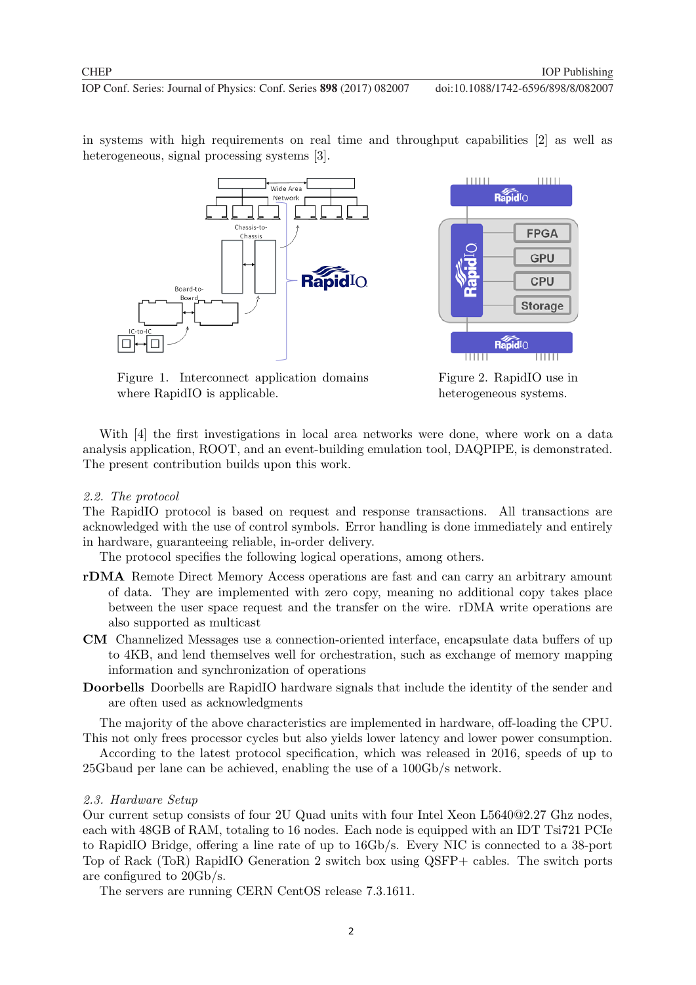in systems with high requirements on real time and throughput capabilities [2] as well as heterogeneous, signal processing systems [3].





Figure 1. Interconnect application domains where RapidIO is applicable.

Figure 2. RapidIO use in heterogeneous systems.

With [4] the first investigations in local area networks were done, where work on a data analysis application, ROOT, and an event-building emulation tool, DAQPIPE, is demonstrated. The present contribution builds upon this work.

#### 2.2. The protocol

The RapidIO protocol is based on request and response transactions. All transactions are acknowledged with the use of control symbols. Error handling is done immediately and entirely in hardware, guaranteeing reliable, in-order delivery.

The protocol specifies the following logical operations, among others.

- **rDMA** Remote Direct Memory Access operations are fast and can carry an arbitrary amount of data. They are implemented with zero copy, meaning no additional copy takes place between the user space request and the transfer on the wire. rDMA write operations are also supported as multicast
- **CM** Channelized Messages use a connection-oriented interface, encapsulate data buffers of up to 4KB, and lend themselves well for orchestration, such as exchange of memory mapping information and synchronization of operations
- **Doorbells** Doorbells are RapidIO hardware signals that include the identity of the sender and are often used as acknowledgments

The majority of the above characteristics are implemented in hardware, off-loading the CPU. This not only frees processor cycles but also yields lower latency and lower power consumption.

According to the latest protocol specification, which was released in 2016, speeds of up to 25Gbaud per lane can be achieved, enabling the use of a 100Gb/s network.

#### 2.3. Hardware Setup

Our current setup consists of four 2U Quad units with four Intel Xeon L5640@2.27 Ghz nodes, each with 48GB of RAM, totaling to 16 nodes. Each node is equipped with an IDT Tsi721 PCIe to RapidIO Bridge, offering a line rate of up to 16Gb/s. Every NIC is connected to a 38-port Top of Rack (ToR) RapidIO Generation 2 switch box using QSFP+ cables. The switch ports are configured to 20Gb/s.

2

The servers are running CERN CentOS release 7.3.1611.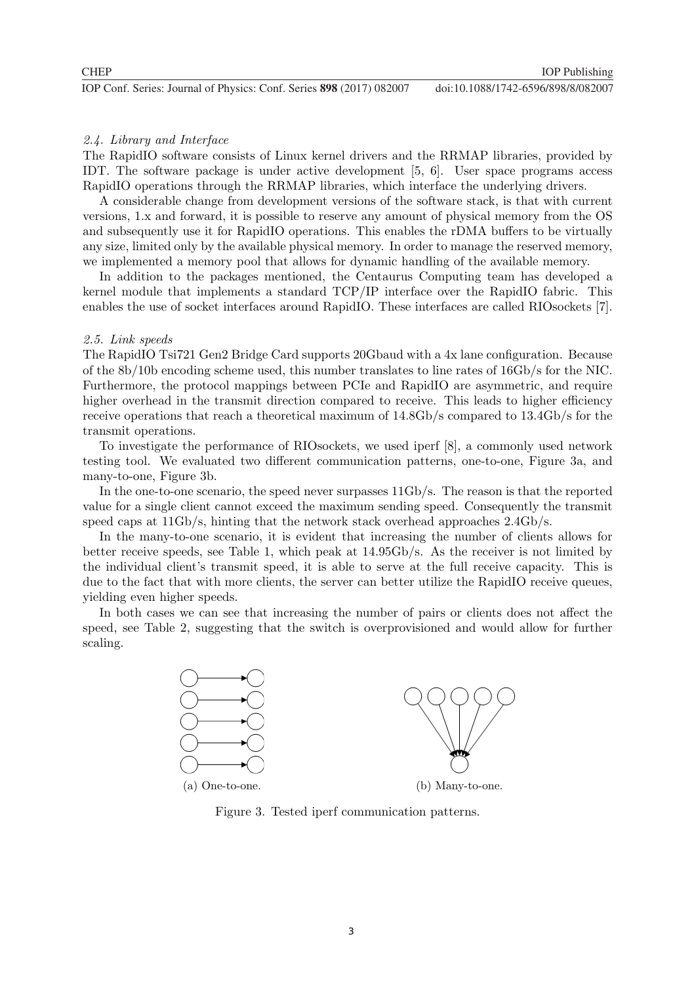#### 2.4. Library and Interface

The RapidIO software consists of Linux kernel drivers and the RRMAP libraries, provided by IDT. The software package is under active development [5, 6]. User space programs access RapidIO operations through the RRMAP libraries, which interface the underlying drivers.

A considerable change from development versions of the software stack, is that with current versions, 1.x and forward, it is possible to reserve any amount of physical memory from the OS and subsequently use it for RapidIO operations. This enables the rDMA buffers to be virtually any size, limited only by the available physical memory. In order to manage the reserved memory, we implemented a memory pool that allows for dynamic handling of the available memory.

In addition to the packages mentioned, the Centaurus Computing team has developed a kernel module that implements a standard TCP/IP interface over the RapidIO fabric. This enables the use of socket interfaces around RapidIO. These interfaces are called RIOsockets [7].

#### 2.5. Link speeds

The RapidIO Tsi721 Gen2 Bridge Card supports 20Gbaud with a 4x lane configuration. Because of the 8b/10b encoding scheme used, this number translates to line rates of 16Gb/s for the NIC. Furthermore, the protocol mappings between PCIe and RapidIO are asymmetric, and require higher overhead in the transmit direction compared to receive. This leads to higher efficiency receive operations that reach a theoretical maximum of 14.8Gb/s compared to 13.4Gb/s for the transmit operations.

To investigate the performance of RIOsockets, we used iperf [8], a commonly used network testing tool. We evaluated two different communication patterns, one-to-one, Figure 3a, and many-to-one, Figure 3b.

In the one-to-one scenario, the speed never surpasses 11Gb/s. The reason is that the reported value for a single client cannot exceed the maximum sending speed. Consequently the transmit speed caps at  $11\text{Gb/s}$ , hinting that the network stack overhead approaches  $2.4\text{Gb/s}$ .

In the many-to-one scenario, it is evident that increasing the number of clients allows for better receive speeds, see Table 1, which peak at 14.95Gb/s. As the receiver is not limited by the individual client's transmit speed, it is able to serve at the full receive capacity. This is due to the fact that with more clients, the server can better utilize the RapidIO receive queues, yielding even higher speeds.

In both cases we can see that increasing the number of pairs or clients does not affect the speed, see Table 2, suggesting that the switch is overprovisioned and would allow for further scaling.



Figure 3. Tested iperf communication patterns.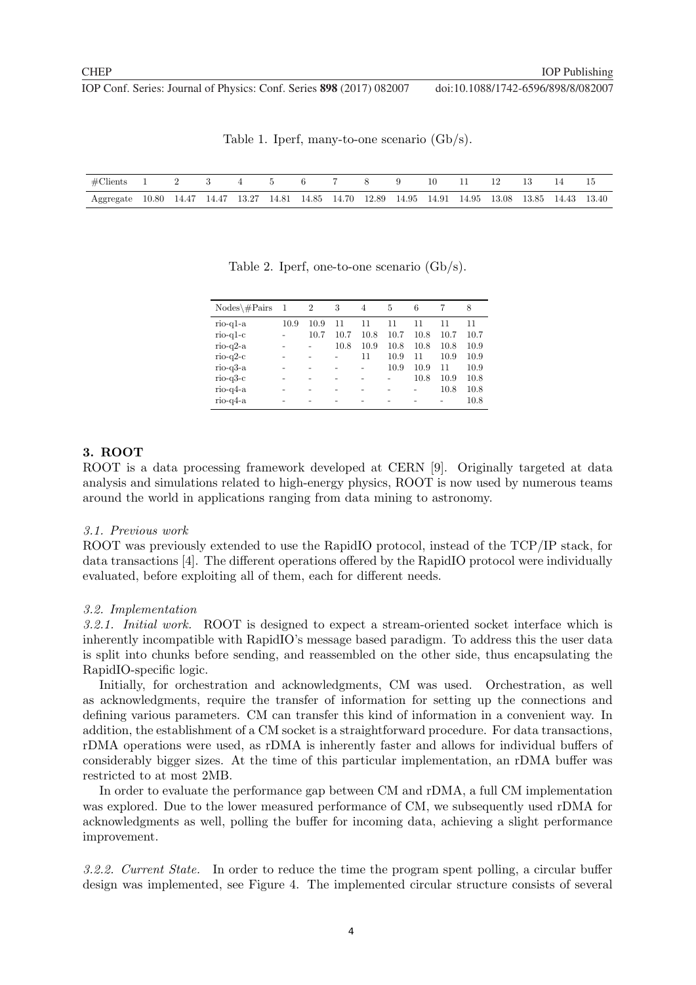**1234567890** IOP Conf. Series: Journal of Physics: Conf. Series **898** (2017) 082007 doi :10.1088/1742-6596/898/8/082007

| #Clients 1 2 3 4 5 6 7 8 9 10 11 12 13 14 15                                                        |  |  |  |  |  |  |  |  |
|-----------------------------------------------------------------------------------------------------|--|--|--|--|--|--|--|--|
| Aggregate 10.80 14.47 14.47 13.27 14.81 14.85 14.70 12.89 14.95 14.91 14.95 13.08 13.85 14.43 13.40 |  |  |  |  |  |  |  |  |

Table 1. Iperf, many-to-one scenario (Gb/s).

Table 2. Iperf, one-to-one scenario (Gb/s).

| $Nodes\#Pairs$ | -1   | $\overline{2}$ | 3    | 4    | 5    | 6    |      | 8    |
|----------------|------|----------------|------|------|------|------|------|------|
| $rio-q1-a$     | 10.9 | 10.9           | 11   | 11   | 11   | 11   | 11   | 11   |
| $rio-q1-c$     |      | 10.7           | 10.7 | 10.8 | 10.7 | 10.8 | 10.7 | 10.7 |
| $rio-q2-a$     |      |                | 10.8 | 10.9 | 10.8 | 10.8 | 10.8 | 10.9 |
| $rio-a2-c$     |      |                |      | 11   | 10.9 | 11   | 10.9 | 10.9 |
| $rio-q3-a$     |      |                |      |      | 10.9 | 10.9 | 11   | 10.9 |
| $rio-a3-c$     |      |                |      |      |      | 10.8 | 10.9 | 10.8 |
| $rio-q4-a$     |      |                |      |      |      |      | 10.8 | 10.8 |
| $rio-q4-a$     |      |                |      |      |      |      |      | 10.8 |
|                |      |                |      |      |      |      |      |      |

#### **3. ROOT**

ROOT is a data processing framework developed at CERN [9]. Originally targeted at data analysis and simulations related to high-energy physics, ROOT is now used by numerous teams around the world in applications ranging from data mining to astronomy.

#### 3.1. Previous work

ROOT was previously extended to use the RapidIO protocol, instead of the TCP/IP stack, for data transactions [4]. The different operations offered by the RapidIO protocol were individually evaluated, before exploiting all of them, each for different needs.

#### 3.2. Implementation

3.2.1. Initial work. ROOT is designed to expect a stream-oriented socket interface which is inherently incompatible with RapidIO's message based paradigm. To address this the user data is split into chunks before sending, and reassembled on the other side, thus encapsulating the RapidIO-specific logic.

Initially, for orchestration and acknowledgments, CM was used. Orchestration, as well as acknowledgments, require the transfer of information for setting up the connections and defining various parameters. CM can transfer this kind of information in a convenient way. In addition, the establishment of a CM socket is a straightforward procedure. For data transactions, rDMA operations were used, as rDMA is inherently faster and allows for individual buffers of considerably bigger sizes. At the time of this particular implementation, an rDMA buffer was restricted to at most 2MB.

In order to evaluate the performance gap between CM and rDMA, a full CM implementation was explored. Due to the lower measured performance of CM, we subsequently used rDMA for acknowledgments as well, polling the buffer for incoming data, achieving a slight performance improvement.

3.2.2. Current State. In order to reduce the time the program spent polling, a circular buffer design was implemented, see Figure 4. The implemented circular structure consists of several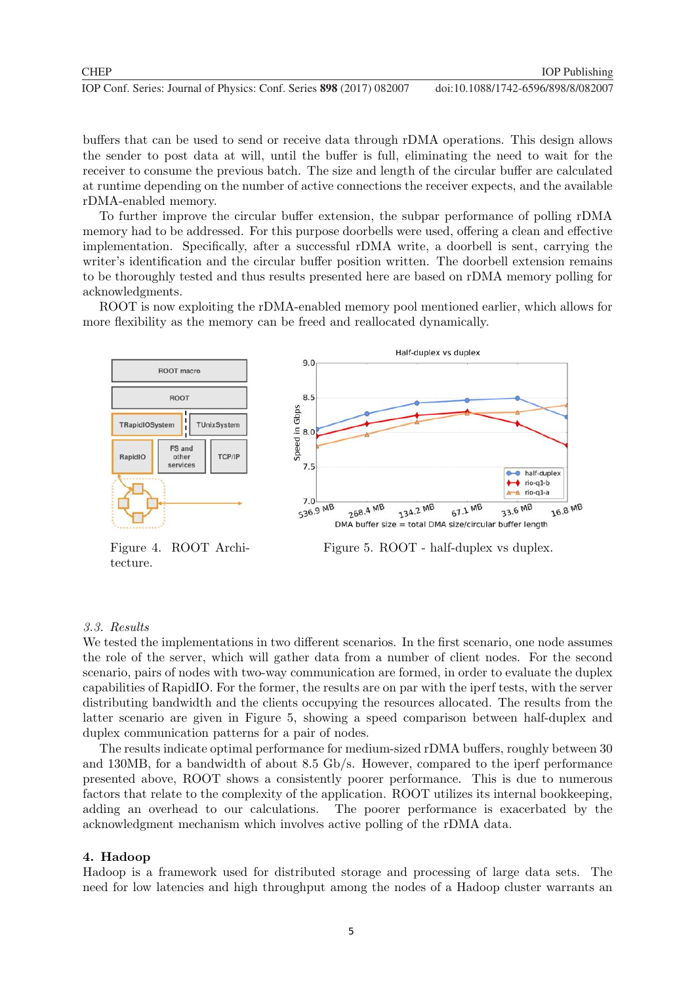buffers that can be used to send or receive data through rDMA operations. This design allows the sender to post data at will, until the buffer is full, eliminating the need to wait for the receiver to consume the previous batch. The size and length of the circular buffer are calculated at runtime depending on the number of active connections the receiver expects, and the available rDMA-enabled memory.

To further improve the circular buffer extension, the subpar performance of polling rDMA memory had to be addressed. For this purpose doorbells were used, offering a clean and effective implementation. Specifically, after a successful rDMA write, a doorbell is sent, carrying the writer's identification and the circular buffer position written. The doorbell extension remains to be thoroughly tested and thus results presented here are based on rDMA memory polling for acknowledgments.

ROOT is now exploiting the rDMA-enabled memory pool mentioned earlier, which allows for more flexibility as the memory can be freed and reallocated dynamically.



Figure 4. ROOT Architecture.



Figure 5. ROOT - half-duplex vs duplex.

#### 3.3. Results

We tested the implementations in two different scenarios. In the first scenario, one node assumes the role of the server, which will gather data from a number of client nodes. For the second scenario, pairs of nodes with two-way communication are formed, in order to evaluate the duplex capabilities of RapidIO. For the former, the results are on par with the iperf tests, with the server distributing bandwidth and the clients occupying the resources allocated. The results from the latter scenario are given in Figure 5, showing a speed comparison between half-duplex and duplex communication patterns for a pair of nodes.

The results indicate optimal performance for medium-sized rDMA buffers, roughly between 30 and 130MB, for a bandwidth of about 8.5 Gb/s. However, compared to the iperf performance presented above, ROOT shows a consistently poorer performance. This is due to numerous factors that relate to the complexity of the application. ROOT utilizes its internal bookkeeping, adding an overhead to our calculations. The poorer performance is exacerbated by the acknowledgment mechanism which involves active polling of the rDMA data.

#### **4. Hadoop**

Hadoop is a framework used for distributed storage and processing of large data sets. The need for low latencies and high throughput among the nodes of a Hadoop cluster warrants an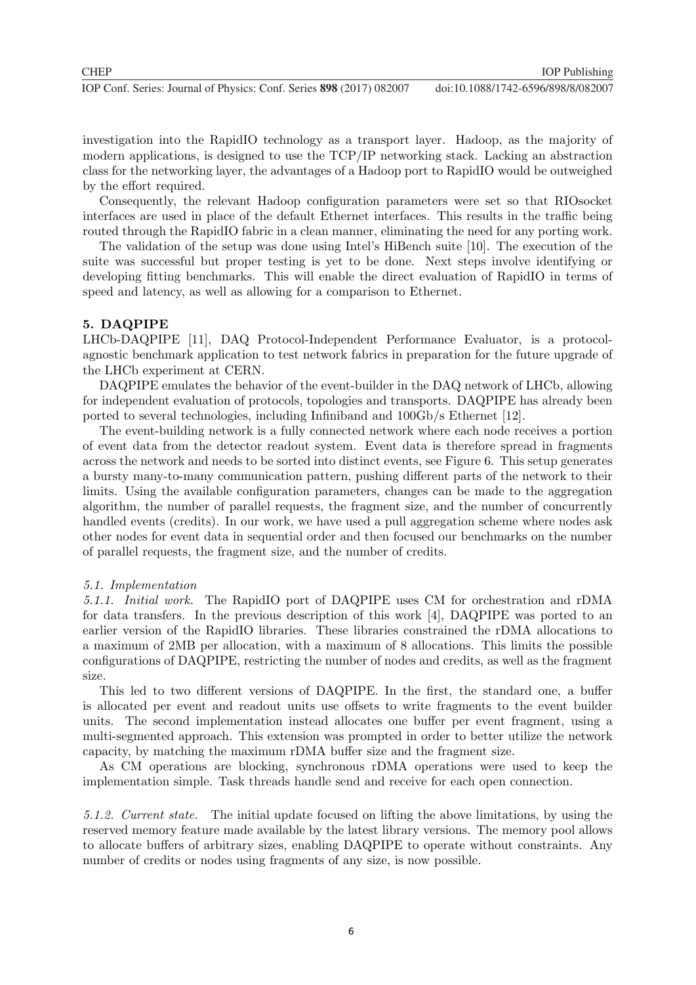investigation into the RapidIO technology as a transport layer. Hadoop, as the majority of modern applications, is designed to use the TCP/IP networking stack. Lacking an abstraction class for the networking layer, the advantages of a Hadoop port to RapidIO would be outweighed by the effort required.

Consequently, the relevant Hadoop configuration parameters were set so that RIOsocket interfaces are used in place of the default Ethernet interfaces. This results in the traffic being routed through the RapidIO fabric in a clean manner, eliminating the need for any porting work.

The validation of the setup was done using Intel's HiBench suite [10]. The execution of the suite was successful but proper testing is yet to be done. Next steps involve identifying or developing fitting benchmarks. This will enable the direct evaluation of RapidIO in terms of speed and latency, as well as allowing for a comparison to Ethernet.

#### **5. DAQPIPE**

LHCb-DAQPIPE [11], DAQ Protocol-Independent Performance Evaluator, is a protocolagnostic benchmark application to test network fabrics in preparation for the future upgrade of the LHCb experiment at CERN.

DAQPIPE emulates the behavior of the event-builder in the DAQ network of LHCb, allowing for independent evaluation of protocols, topologies and transports. DAQPIPE has already been ported to several technologies, including Infiniband and 100Gb/s Ethernet [12].

The event-building network is a fully connected network where each node receives a portion of event data from the detector readout system. Event data is therefore spread in fragments across the network and needs to be sorted into distinct events, see Figure 6. This setup generates a bursty many-to-many communication pattern, pushing different parts of the network to their limits. Using the available configuration parameters, changes can be made to the aggregation algorithm, the number of parallel requests, the fragment size, and the number of concurrently handled events (credits). In our work, we have used a pull aggregation scheme where nodes ask other nodes for event data in sequential order and then focused our benchmarks on the number of parallel requests, the fragment size, and the number of credits.

#### 5.1. Implementation

5.1.1. Initial work. The RapidIO port of DAQPIPE uses CM for orchestration and rDMA for data transfers. In the previous description of this work [4], DAQPIPE was ported to an earlier version of the RapidIO libraries. These libraries constrained the rDMA allocations to a maximum of 2MB per allocation, with a maximum of 8 allocations. This limits the possible configurations of DAQPIPE, restricting the number of nodes and credits, as well as the fragment size.

This led to two different versions of DAQPIPE. In the first, the standard one, a buffer is allocated per event and readout units use offsets to write fragments to the event builder units. The second implementation instead allocates one buffer per event fragment, using a multi-segmented approach. This extension was prompted in order to better utilize the network capacity, by matching the maximum rDMA buffer size and the fragment size.

As CM operations are blocking, synchronous rDMA operations were used to keep the implementation simple. Task threads handle send and receive for each open connection.

5.1.2. Current state. The initial update focused on lifting the above limitations, by using the reserved memory feature made available by the latest library versions. The memory pool allows to allocate buffers of arbitrary sizes, enabling DAQPIPE to operate without constraints. Any number of credits or nodes using fragments of any size, is now possible.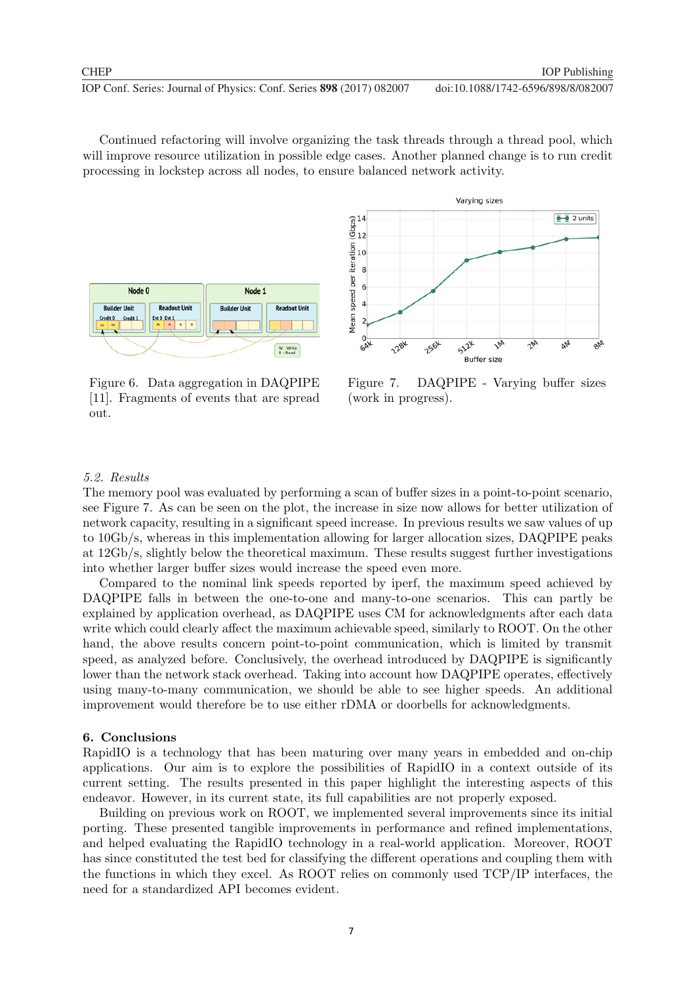Continued refactoring will involve organizing the task threads through a thread pool, which will improve resource utilization in possible edge cases. Another planned change is to run credit processing in lockstep across all nodes, to ensure balanced network activity.



Figure 6. Data aggregation in DAQPIPE [11]. Fragments of events that are spread out.



Figure 7. DAQPIPE - Varying buffer sizes (work in progress).

#### 5.2. Results

The memory pool was evaluated by performing a scan of buffer sizes in a point-to-point scenario, see Figure 7. As can be seen on the plot, the increase in size now allows for better utilization of network capacity, resulting in a significant speed increase. In previous results we saw values of up to 10Gb/s, whereas in this implementation allowing for larger allocation sizes, DAQPIPE peaks at 12Gb/s, slightly below the theoretical maximum. These results suggest further investigations into whether larger buffer sizes would increase the speed even more.

Compared to the nominal link speeds reported by iperf, the maximum speed achieved by DAQPIPE falls in between the one-to-one and many-to-one scenarios. This can partly be explained by application overhead, as DAQPIPE uses CM for acknowledgments after each data write which could clearly affect the maximum achievable speed, similarly to ROOT. On the other hand, the above results concern point-to-point communication, which is limited by transmit speed, as analyzed before. Conclusively, the overhead introduced by DAQPIPE is significantly lower than the network stack overhead. Taking into account how DAQPIPE operates, effectively using many-to-many communication, we should be able to see higher speeds. An additional improvement would therefore be to use either rDMA or doorbells for acknowledgments.

#### **6. Conclusions**

RapidIO is a technology that has been maturing over many years in embedded and on-chip applications. Our aim is to explore the possibilities of RapidIO in a context outside of its current setting. The results presented in this paper highlight the interesting aspects of this endeavor. However, in its current state, its full capabilities are not properly exposed.

Building on previous work on ROOT, we implemented several improvements since its initial porting. These presented tangible improvements in performance and refined implementations, and helped evaluating the RapidIO technology in a real-world application. Moreover, ROOT has since constituted the test bed for classifying the different operations and coupling them with the functions in which they excel. As ROOT relies on commonly used TCP/IP interfaces, the need for a standardized API becomes evident.